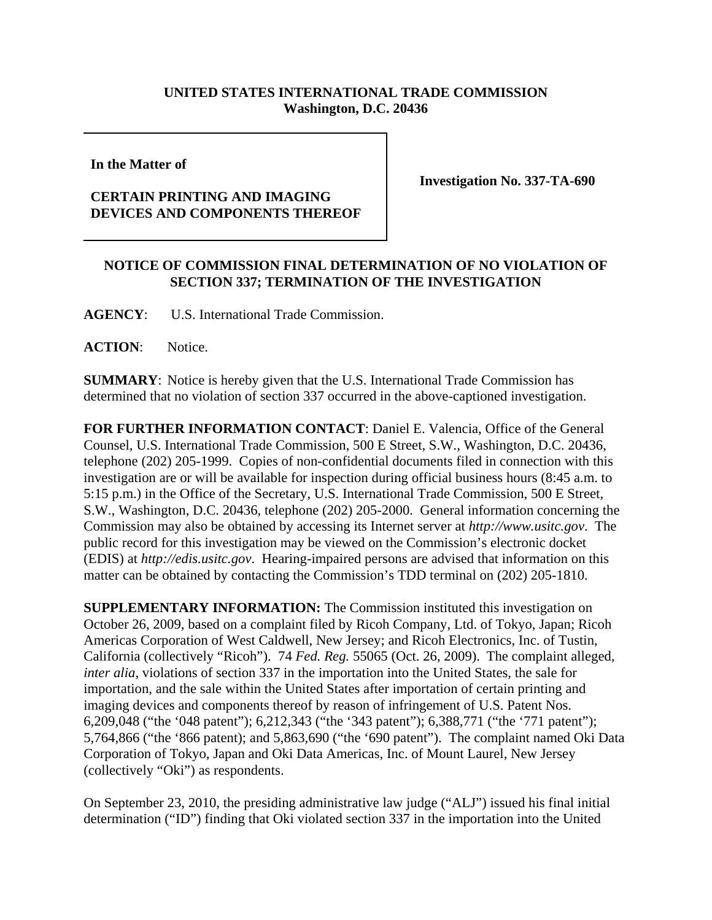## **UNITED STATES INTERNATIONAL TRADE COMMISSION Washington, D.C. 20436**

**In the Matter of** 

## **CERTAIN PRINTING AND IMAGING DEVICES AND COMPONENTS THEREOF**

**Investigation No. 337-TA-690**

## **NOTICE OF COMMISSION FINAL DETERMINATION OF NO VIOLATION OF SECTION 337; TERMINATION OF THE INVESTIGATION**

**AGENCY**: U.S. International Trade Commission.

**ACTION**: Notice.

**SUMMARY**: Notice is hereby given that the U.S. International Trade Commission has determined that no violation of section 337 occurred in the above-captioned investigation.

**FOR FURTHER INFORMATION CONTACT**: Daniel E. Valencia, Office of the General Counsel, U.S. International Trade Commission, 500 E Street, S.W., Washington, D.C. 20436, telephone (202) 205-1999. Copies of non-confidential documents filed in connection with this investigation are or will be available for inspection during official business hours (8:45 a.m. to 5:15 p.m.) in the Office of the Secretary, U.S. International Trade Commission, 500 E Street, S.W., Washington, D.C. 20436, telephone (202) 205-2000. General information concerning the Commission may also be obtained by accessing its Internet server at *http://www.usitc.gov*. The public record for this investigation may be viewed on the Commission's electronic docket (EDIS) at *http://edis.usitc.gov*. Hearing-impaired persons are advised that information on this matter can be obtained by contacting the Commission's TDD terminal on (202) 205-1810.

**SUPPLEMENTARY INFORMATION:** The Commission instituted this investigation on October 26, 2009, based on a complaint filed by Ricoh Company, Ltd. of Tokyo, Japan; Ricoh Americas Corporation of West Caldwell, New Jersey; and Ricoh Electronics, Inc. of Tustin, California (collectively "Ricoh"). 74 *Fed. Reg.* 55065 (Oct. 26, 2009). The complaint alleged, *inter alia,* violations of section 337 in the importation into the United States, the sale for importation, and the sale within the United States after importation of certain printing and imaging devices and components thereof by reason of infringement of U.S. Patent Nos. 6,209,048 ("the '048 patent"); 6,212,343 ("the '343 patent"); 6,388,771 ("the '771 patent"); 5,764,866 ("the '866 patent); and 5,863,690 ("the '690 patent"). The complaint named Oki Data Corporation of Tokyo, Japan and Oki Data Americas, Inc. of Mount Laurel, New Jersey (collectively "Oki") as respondents.

On September 23, 2010, the presiding administrative law judge ("ALJ") issued his final initial determination ("ID") finding that Oki violated section 337 in the importation into the United